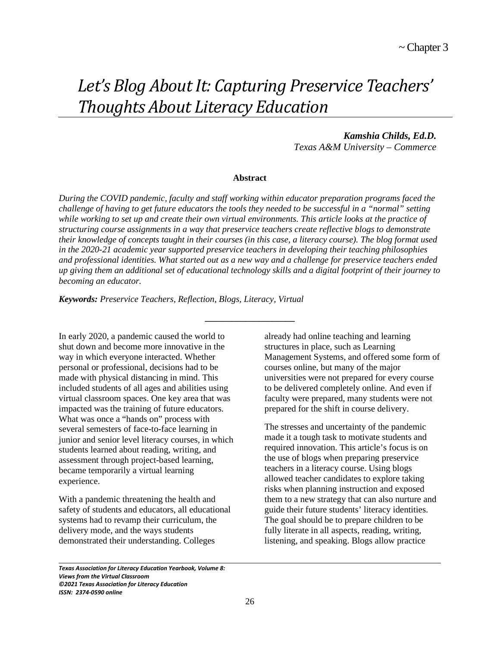# *Let's Blog About It: Capturing Preservice Teachers' Thoughts About Literacy Education*

*Kamshia Childs, Ed.D. Texas A&M University – Commerce*

#### **Abstract**

*During the COVID pandemic, faculty and staff working within educator preparation programs faced the challenge of having to get future educators the tools they needed to be successful in a "normal" setting while working to set up and create their own virtual environments. This article looks at the practice of structuring course assignments in a way that preservice teachers create reflective blogs to demonstrate their knowledge of concepts taught in their courses (in this case, a literacy course). The blog format used in the 2020-21 academic year supported preservice teachers in developing their teaching philosophies and professional identities. What started out as a new way and a challenge for preservice teachers ended up giving them an additional set of educational technology skills and a digital footprint of their journey to becoming an educator.* 

**\_\_\_\_\_\_\_\_\_\_\_\_\_\_\_\_\_\_\_\_**

*Keywords: Preservice Teachers, Reflection, Blogs, Literacy, Virtual* 

In early 2020, a pandemic caused the world to shut down and become more innovative in the way in which everyone interacted. Whether personal or professional, decisions had to be made with physical distancing in mind. This included students of all ages and abilities using virtual classroom spaces. One key area that was impacted was the training of future educators. What was once a "hands on" process with several semesters of face-to-face learning in junior and senior level literacy courses, in which students learned about reading, writing, and assessment through project-based learning, became temporarily a virtual learning experience.

With a pandemic threatening the health and safety of students and educators, all educational systems had to revamp their curriculum, the delivery mode, and the ways students demonstrated their understanding. Colleges

already had online teaching and learning structures in place, such as Learning Management Systems, and offered some form of courses online, but many of the major universities were not prepared for every course to be delivered completely online. And even if faculty were prepared, many students were not prepared for the shift in course delivery.

The stresses and uncertainty of the pandemic made it a tough task to motivate students and required innovation. This article's focus is on the use of blogs when preparing preservice teachers in a literacy course. Using blogs allowed teacher candidates to explore taking risks when planning instruction and exposed them to a new strategy that can also nurture and guide their future students' literacy identities. The goal should be to prepare children to be fully literate in all aspects, reading, writing, listening, and speaking. Blogs allow practice

*Texas Association for Literacy Education Yearbook, Volume 8: Views from the Virtual Classroom ©2021 Texas Association for Literacy Education ISSN: 2374-0590 online*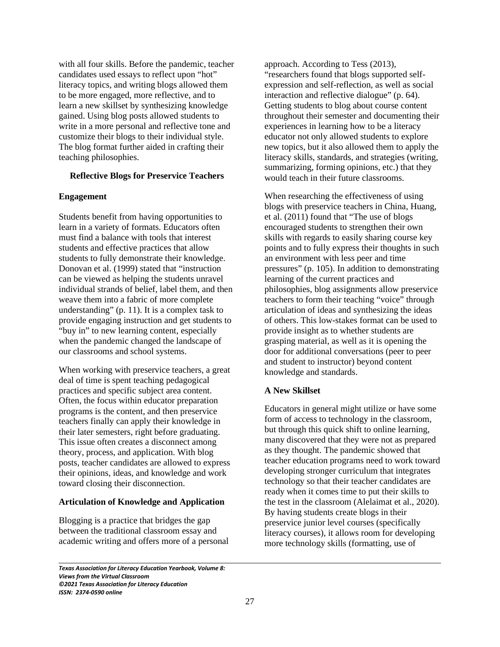with all four skills. Before the pandemic, teacher candidates used essays to reflect upon "hot" literacy topics, and writing blogs allowed them to be more engaged, more reflective, and to learn a new skillset by synthesizing knowledge gained. Using blog posts allowed students to write in a more personal and reflective tone and customize their blogs to their individual style. The blog format further aided in crafting their teaching philosophies.

#### **Reflective Blogs for Preservice Teachers**

### **Engagement**

Students benefit from having opportunities to learn in a variety of formats. Educators often must find a balance with tools that interest students and effective practices that allow students to fully demonstrate their knowledge. Donovan et al. (1999) stated that "instruction can be viewed as helping the students unravel individual strands of belief, label them, and then weave them into a fabric of more complete understanding" (p. 11). It is a complex task to provide engaging instruction and get students to "buy in" to new learning content, especially when the pandemic changed the landscape of our classrooms and school systems.

When working with preservice teachers, a great deal of time is spent teaching pedagogical practices and specific subject area content. Often, the focus within educator preparation programs is the content, and then preservice teachers finally can apply their knowledge in their later semesters, right before graduating. This issue often creates a disconnect among theory, process, and application. With blog posts, teacher candidates are allowed to express their opinions, ideas, and knowledge and work toward closing their disconnection.

#### **Articulation of Knowledge and Application**

Blogging is a practice that bridges the gap between the traditional classroom essay and academic writing and offers more of a personal

approach. According to Tess (2013), "researchers found that blogs supported selfexpression and self-reflection, as well as social interaction and reflective dialogue" (p. 64). Getting students to blog about course content throughout their semester and documenting their experiences in learning how to be a literacy educator not only allowed students to explore new topics, but it also allowed them to apply the literacy skills, standards, and strategies (writing, summarizing, forming opinions, etc.) that they would teach in their future classrooms.

When researching the effectiveness of using blogs with preservice teachers in China, Huang, et al. (2011) found that "The use of blogs encouraged students to strengthen their own skills with regards to easily sharing course key points and to fully express their thoughts in such an environment with less peer and time pressures" (p. 105). In addition to demonstrating learning of the current practices and philosophies, blog assignments allow preservice teachers to form their teaching "voice" through articulation of ideas and synthesizing the ideas of others. This low-stakes format can be used to provide insight as to whether students are grasping material, as well as it is opening the door for additional conversations (peer to peer and student to instructor) beyond content knowledge and standards.

## **A New Skillset**

Educators in general might utilize or have some form of access to technology in the classroom, but through this quick shift to online learning, many discovered that they were not as prepared as they thought. The pandemic showed that teacher education programs need to work toward developing stronger curriculum that integrates technology so that their teacher candidates are ready when it comes time to put their skills to the test in the classroom (Alelaimat et al., 2020). By having students create blogs in their preservice junior level courses (specifically literacy courses), it allows room for developing more technology skills (formatting, use of

*Texas Association for Literacy Education Yearbook, Volume 8: Views from the Virtual Classroom ©2021 Texas Association for Literacy Education ISSN: 2374-0590 online*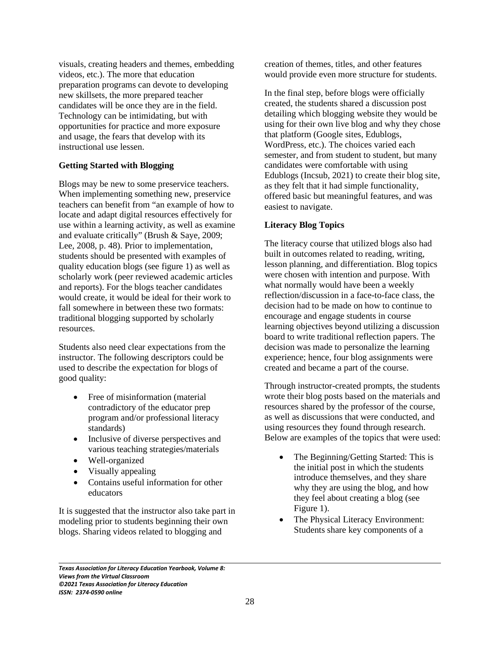visuals, creating headers and themes, embedding videos, etc.). The more that education preparation programs can devote to developing new skillsets, the more prepared teacher candidates will be once they are in the field. Technology can be intimidating, but with opportunities for practice and more exposure and usage, the fears that develop with its instructional use lessen.

## **Getting Started with Blogging**

Blogs may be new to some preservice teachers. When implementing something new, preservice teachers can benefit from "an example of how to locate and adapt digital resources effectively for use within a learning activity, as well as examine and evaluate critically" (Brush & Saye, 2009; Lee, 2008, p. 48). Prior to implementation, students should be presented with examples of quality education blogs (see figure 1) as well as scholarly work (peer reviewed academic articles and reports). For the blogs teacher candidates would create, it would be ideal for their work to fall somewhere in between these two formats: traditional blogging supported by scholarly resources.

Students also need clear expectations from the instructor. The following descriptors could be used to describe the expectation for blogs of good quality:

- Free of misinformation (material contradictory of the educator prep program and/or professional literacy standards)
- Inclusive of diverse perspectives and various teaching strategies/materials
- Well-organized

 $\overline{\phantom{0}}$ 

- Visually appealing
- Contains useful information for other educators

It is suggested that the instructor also take part in modeling prior to students beginning their own blogs. Sharing videos related to blogging and

creation of themes, titles, and other features would provide even more structure for students.

In the final step, before blogs were officially created, the students shared a discussion post detailing which blogging website they would be using for their own live blog and why they chose that platform (Google sites, Edublogs, WordPress, etc.). The choices varied each semester, and from student to student, but many candidates were comfortable with using Edublogs (Incsub, 2021) to create their blog site, as they felt that it had simple functionality, offered basic but meaningful features, and was easiest to navigate.

# **Literacy Blog Topics**

The literacy course that utilized blogs also had built in outcomes related to reading, writing, lesson planning, and differentiation. Blog topics were chosen with intention and purpose. With what normally would have been a weekly reflection/discussion in a face-to-face class, the decision had to be made on how to continue to encourage and engage students in course learning objectives beyond utilizing a discussion board to write traditional reflection papers. The decision was made to personalize the learning experience; hence, four blog assignments were created and became a part of the course.

Through instructor-created prompts, the students wrote their blog posts based on the materials and resources shared by the professor of the course, as well as discussions that were conducted, and using resources they found through research. Below are examples of the topics that were used:

- The Beginning/Getting Started: This is the initial post in which the students introduce themselves, and they share why they are using the blog, and how they feel about creating a blog (see Figure 1).
- The Physical Literacy Environment: Students share key components of a

*Texas Association for Literacy Education Yearbook, Volume 8: Views from the Virtual Classroom ©2021 Texas Association for Literacy Education ISSN: 2374-0590 online*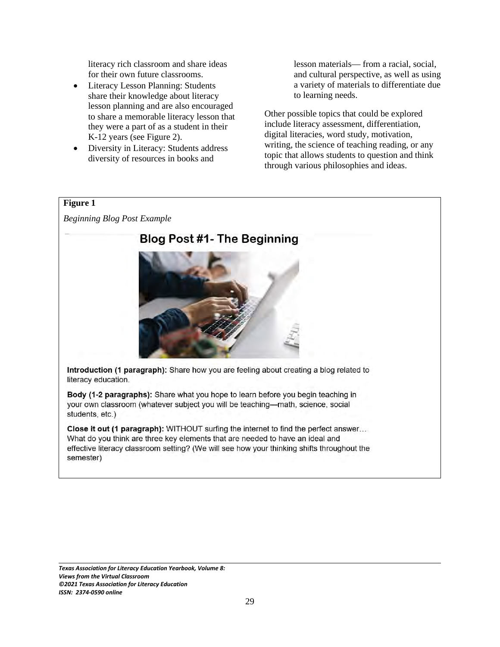literacy rich classroom and share ideas for their own future classrooms.

- Literacy Lesson Planning: Students share their knowledge about literacy lesson planning and are also encouraged to share a memorable literacy lesson that they were a part of as a student in their K-12 years (see Figure 2).
- Diversity in Literacy: Students address diversity of resources in books and

lesson materials— from a racial, social, and cultural perspective, as well as using a variety of materials to differentiate due to learning needs.

Other possible topics that could be explored include literacy assessment, differentiation, digital literacies, word study, motivation, writing, the science of teaching reading, or any topic that allows students to question and think through various philosophies and ideas.

## **Figure 1**

*Beginning Blog Post Example* 



Introduction (1 paragraph): Share how you are feeling about creating a blog related to literacy education.

Body (1-2 paragraphs): Share what you hope to learn before you begin teaching in your own classroom (whatever subject you will be teaching—math, science, social students, etc.)

Close it out (1 paragraph): WITHOUT surfing the internet to find the perfect answer... What do you think are three key elements that are needed to have an ideal and effective literacy classroom setting? (We will see how your thinking shifts throughout the semester)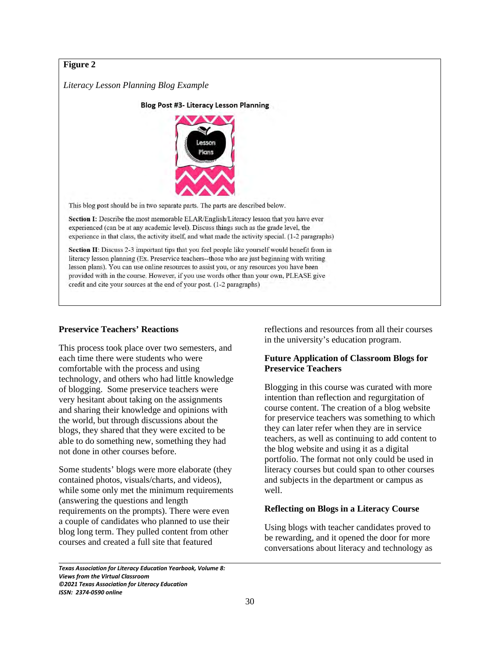# **Figure 2**

*Literacy Lesson Planning Blog Example* 

Blog Post #3- Literacy Lesson Planning



This blog post should be in two separate parts. The parts are described below.

Section I: Describe the most memorable ELAR/English/Literacy lesson that you have ever experienced (can be at any academic level). Discuss things such as the grade level, the experience in that class, the activity itself, and what made the activity special. (1-2 paragraphs)

Section II: Discuss 2-3 important tips that you feel people like yourself would benefit from in literacy lesson planning (Ex. Preservice teachers--those who are just beginning with writing lesson plans). You can use online resources to assist you, or any resources you have been provided with in the course. However, if you use words other than your own, PLEASE give credit and cite your sources at the end of your post. (1-2 paragraphs)

# **Preservice Teachers' Reactions**

This process took place over two semesters, and each time there were students who were comfortable with the process and using technology, and others who had little knowledge of blogging. Some preservice teachers were very hesitant about taking on the assignments and sharing their knowledge and opinions with the world, but through discussions about the blogs, they shared that they were excited to be able to do something new, something they had not done in other courses before.

Some students' blogs were more elaborate (they contained photos, visuals/charts, and videos), while some only met the minimum requirements (answering the questions and length requirements on the prompts). There were even a couple of candidates who planned to use their blog long term. They pulled content from other courses and created a full site that featured

reflections and resources from all their courses in the university's education program.

## **Future Application of Classroom Blogs for Preservice Teachers**

Blogging in this course was curated with more intention than reflection and regurgitation of course content. The creation of a blog website for preservice teachers was something to which they can later refer when they are in service teachers, as well as continuing to add content to the blog website and using it as a digital portfolio. The format not only could be used in literacy courses but could span to other courses and subjects in the department or campus as well.

## **Reflecting on Blogs in a Literacy Course**

Using blogs with teacher candidates proved to be rewarding, and it opened the door for more conversations about literacy and technology as

*Texas Association for Literacy Education Yearbook, Volume 8: Views from the Virtual Classroom ©2021 Texas Association for Literacy Education ISSN: 2374-0590 online*